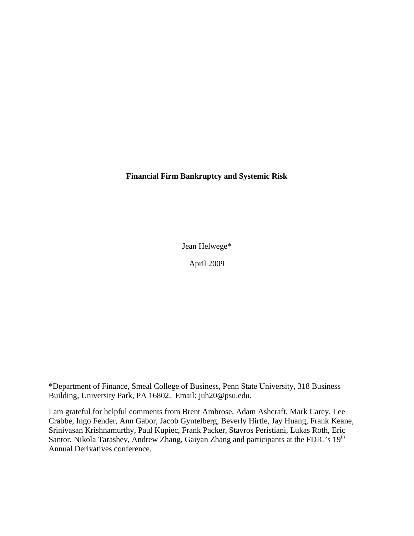**Financial Firm Bankruptcy and Systemic Risk** 

Jean Helwege\*

April 2009

\*Department of Finance, Smeal College of Business, Penn State University, 318 Business Building, University Park, PA 16802. Email: juh20@psu.edu.

I am grateful for helpful comments from Brent Ambrose, Adam Ashcraft, Mark Carey, Lee Crabbe, Ingo Fender, Ann Gabor, Jacob Gyntelberg, Beverly Hirtle, Jay Huang, Frank Keane, Srinivasan Krishnamurthy, Paul Kupiec, Frank Packer, Stavros Peristiani, Lukas Roth, Eric Santor, Nikola Tarashev, Andrew Zhang, Gaiyan Zhang and participants at the FDIC's 19<sup>th</sup> Annual Derivatives conference.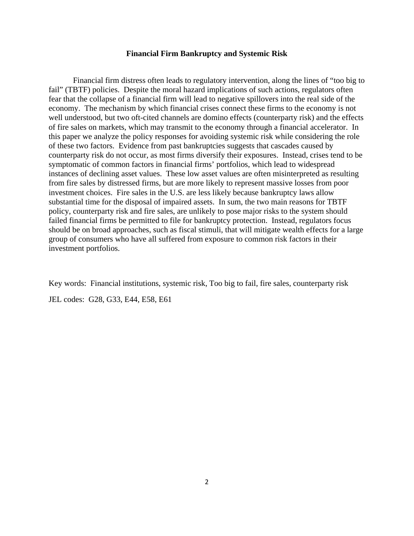### **Financial Firm Bankruptcy and Systemic Risk**

 Financial firm distress often leads to regulatory intervention, along the lines of "too big to fail" (TBTF) policies. Despite the moral hazard implications of such actions, regulators often fear that the collapse of a financial firm will lead to negative spillovers into the real side of the economy. The mechanism by which financial crises connect these firms to the economy is not well understood, but two oft-cited channels are domino effects (counterparty risk) and the effects of fire sales on markets, which may transmit to the economy through a financial accelerator. In this paper we analyze the policy responses for avoiding systemic risk while considering the role of these two factors. Evidence from past bankruptcies suggests that cascades caused by counterparty risk do not occur, as most firms diversify their exposures. Instead, crises tend to be symptomatic of common factors in financial firms' portfolios, which lead to widespread instances of declining asset values. These low asset values are often misinterpreted as resulting from fire sales by distressed firms, but are more likely to represent massive losses from poor investment choices. Fire sales in the U.S. are less likely because bankruptcy laws allow substantial time for the disposal of impaired assets. In sum, the two main reasons for TBTF policy, counterparty risk and fire sales, are unlikely to pose major risks to the system should failed financial firms be permitted to file for bankruptcy protection. Instead, regulators focus should be on broad approaches, such as fiscal stimuli, that will mitigate wealth effects for a large group of consumers who have all suffered from exposure to common risk factors in their investment portfolios.

Key words: Financial institutions, systemic risk, Too big to fail, fire sales, counterparty risk JEL codes: G28, G33, E44, E58, E61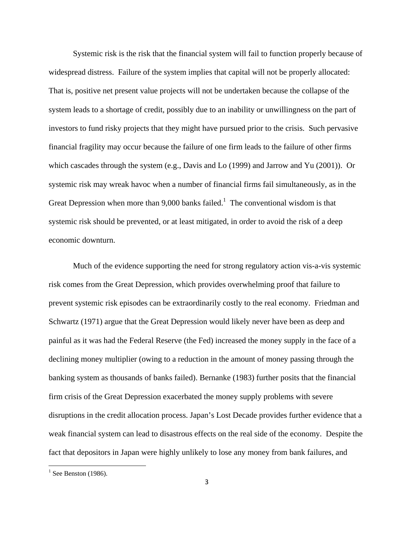Systemic risk is the risk that the financial system will fail to function properly because of widespread distress. Failure of the system implies that capital will not be properly allocated: That is, positive net present value projects will not be undertaken because the collapse of the system leads to a shortage of credit, possibly due to an inability or unwillingness on the part of investors to fund risky projects that they might have pursued prior to the crisis. Such pervasive financial fragility may occur because the failure of one firm leads to the failure of other firms which cascades through the system (e.g., Davis and Lo (1999) and Jarrow and Yu (2001)). Or systemic risk may wreak havoc when a number of financial firms fail simultaneously, as in the Great Depression when more than  $9,000$  banks failed.<sup>1</sup> The conventional wisdom is that systemic risk should be prevented, or at least mitigated, in order to avoid the risk of a deep economic downturn.

Much of the evidence supporting the need for strong regulatory action vis-a-vis systemic risk comes from the Great Depression, which provides overwhelming proof that failure to prevent systemic risk episodes can be extraordinarily costly to the real economy. Friedman and Schwartz (1971) argue that the Great Depression would likely never have been as deep and painful as it was had the Federal Reserve (the Fed) increased the money supply in the face of a declining money multiplier (owing to a reduction in the amount of money passing through the banking system as thousands of banks failed). Bernanke (1983) further posits that the financial firm crisis of the Great Depression exacerbated the money supply problems with severe disruptions in the credit allocation process. Japan's Lost Decade provides further evidence that a weak financial system can lead to disastrous effects on the real side of the economy. Despite the fact that depositors in Japan were highly unlikely to lose any money from bank failures, and

 $<sup>1</sup>$  See Benston (1986).</sup>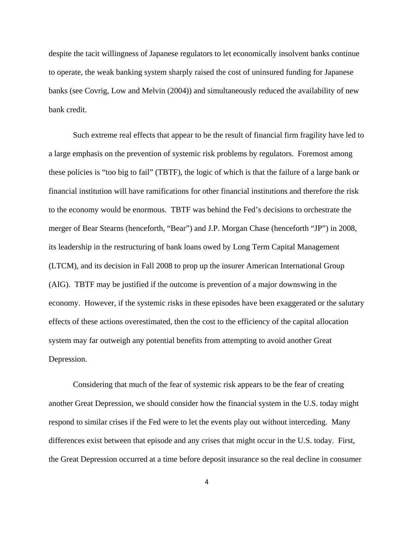despite the tacit willingness of Japanese regulators to let economically insolvent banks continue to operate, the weak banking system sharply raised the cost of uninsured funding for Japanese banks (see Covrig, Low and Melvin (2004)) and simultaneously reduced the availability of new bank credit.

Such extreme real effects that appear to be the result of financial firm fragility have led to a large emphasis on the prevention of systemic risk problems by regulators. Foremost among these policies is "too big to fail" (TBTF), the logic of which is that the failure of a large bank or financial institution will have ramifications for other financial institutions and therefore the risk to the economy would be enormous. TBTF was behind the Fed's decisions to orchestrate the merger of Bear Stearns (henceforth, "Bear") and J.P. Morgan Chase (henceforth "JP") in 2008, its leadership in the restructuring of bank loans owed by Long Term Capital Management (LTCM), and its decision in Fall 2008 to prop up the insurer American International Group (AIG). TBTF may be justified if the outcome is prevention of a major downswing in the economy. However, if the systemic risks in these episodes have been exaggerated or the salutary effects of these actions overestimated, then the cost to the efficiency of the capital allocation system may far outweigh any potential benefits from attempting to avoid another Great Depression.

Considering that much of the fear of systemic risk appears to be the fear of creating another Great Depression, we should consider how the financial system in the U.S. today might respond to similar crises if the Fed were to let the events play out without interceding. Many differences exist between that episode and any crises that might occur in the U.S. today. First, the Great Depression occurred at a time before deposit insurance so the real decline in consumer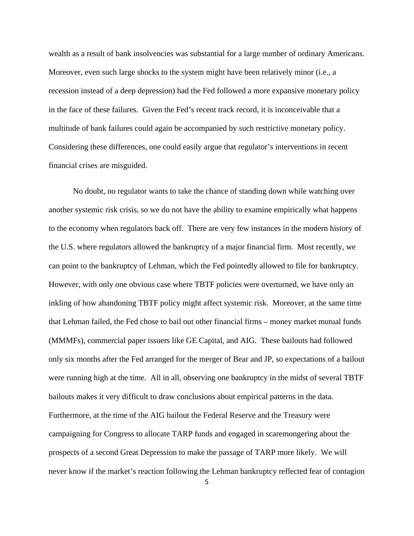wealth as a result of bank insolvencies was substantial for a large number of ordinary Americans. Moreover, even such large shocks to the system might have been relatively minor (i.e., a recession instead of a deep depression) had the Fed followed a more expansive monetary policy in the face of these failures. Given the Fed's recent track record, it is inconceivable that a multitude of bank failures could again be accompanied by such restrictive monetary policy. Considering these differences, one could easily argue that regulator's interventions in recent financial crises are misguided.

No doubt, no regulator wants to take the chance of standing down while watching over another systemic risk crisis, so we do not have the ability to examine empirically what happens to the economy when regulators back off. There are very few instances in the modern history of the U.S. where regulators allowed the bankruptcy of a major financial firm. Most recently, we can point to the bankruptcy of Lehman, which the Fed pointedly allowed to file for bankruptcy. However, with only one obvious case where TBTF policies were overturned, we have only an inkling of how abandoning TBTF policy might affect systemic risk. Moreover, at the same time that Lehman failed, the Fed chose to bail out other financial firms – money market mutual funds (MMMFs), commercial paper issuers like GE Capital, and AIG. These bailouts had followed only six months after the Fed arranged for the merger of Bear and JP, so expectations of a bailout were running high at the time. All in all, observing one bankruptcy in the midst of several TBTF bailouts makes it very difficult to draw conclusions about empirical patterns in the data. Furthermore, at the time of the AIG bailout the Federal Reserve and the Treasury were campaigning for Congress to allocate TARP funds and engaged in scaremongering about the prospects of a second Great Depression to make the passage of TARP more likely. We will never know if the market's reaction following the Lehman bankruptcy reflected fear of contagion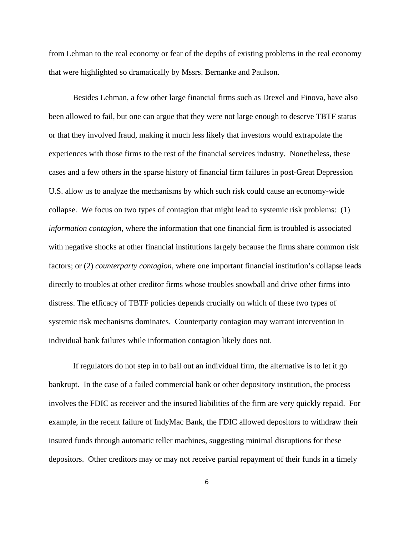from Lehman to the real economy or fear of the depths of existing problems in the real economy that were highlighted so dramatically by Mssrs. Bernanke and Paulson.

Besides Lehman, a few other large financial firms such as Drexel and Finova, have also been allowed to fail, but one can argue that they were not large enough to deserve TBTF status or that they involved fraud, making it much less likely that investors would extrapolate the experiences with those firms to the rest of the financial services industry. Nonetheless, these cases and a few others in the sparse history of financial firm failures in post-Great Depression U.S. allow us to analyze the mechanisms by which such risk could cause an economy-wide collapse. We focus on two types of contagion that might lead to systemic risk problems: (1) *information contagion*, where the information that one financial firm is troubled is associated with negative shocks at other financial institutions largely because the firms share common risk factors; or (2) *counterparty contagion*, where one important financial institution's collapse leads directly to troubles at other creditor firms whose troubles snowball and drive other firms into distress. The efficacy of TBTF policies depends crucially on which of these two types of systemic risk mechanisms dominates. Counterparty contagion may warrant intervention in individual bank failures while information contagion likely does not.

If regulators do not step in to bail out an individual firm, the alternative is to let it go bankrupt. In the case of a failed commercial bank or other depository institution, the process involves the FDIC as receiver and the insured liabilities of the firm are very quickly repaid. For example, in the recent failure of IndyMac Bank, the FDIC allowed depositors to withdraw their insured funds through automatic teller machines, suggesting minimal disruptions for these depositors. Other creditors may or may not receive partial repayment of their funds in a timely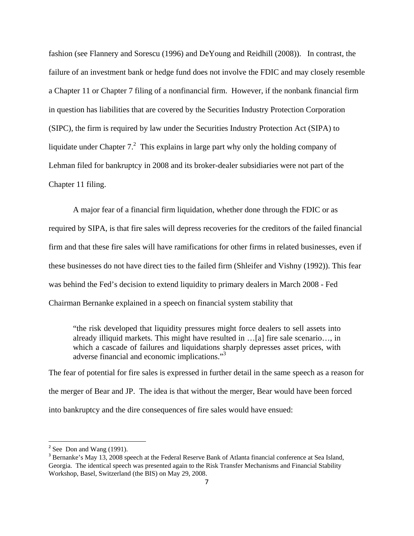fashion (see Flannery and Sorescu (1996) and DeYoung and Reidhill (2008)). In contrast, the failure of an investment bank or hedge fund does not involve the FDIC and may closely resemble a Chapter 11 or Chapter 7 filing of a nonfinancial firm. However, if the nonbank financial firm in question has liabilities that are covered by the Securities Industry Protection Corporation (SIPC), the firm is required by law under the Securities Industry Protection Act (SIPA) to liquidate under Chapter  $7<sup>2</sup>$  This explains in large part why only the holding company of Lehman filed for bankruptcy in 2008 and its broker-dealer subsidiaries were not part of the Chapter 11 filing.

A major fear of a financial firm liquidation, whether done through the FDIC or as required by SIPA, is that fire sales will depress recoveries for the creditors of the failed financial firm and that these fire sales will have ramifications for other firms in related businesses, even if these businesses do not have direct ties to the failed firm (Shleifer and Vishny (1992)). This fear was behind the Fed's decision to extend liquidity to primary dealers in March 2008 - Fed Chairman Bernanke explained in a speech on financial system stability that

"the risk developed that liquidity pressures might force dealers to sell assets into already illiquid markets. This might have resulted in …[a] fire sale scenario…, in which a cascade of failures and liquidations sharply depresses asset prices, with adverse financial and economic implications."3

The fear of potential for fire sales is expressed in further detail in the same speech as a reason for the merger of Bear and JP. The idea is that without the merger, Bear would have been forced into bankruptcy and the dire consequences of fire sales would have ensued:

 $2^2$  See Don and Wang (1991).

<sup>&</sup>lt;sup>3</sup> Bernanke's May 13, 2008 speech at the Federal Reserve Bank of Atlanta financial conference at Sea Island, Georgia. The identical speech was presented again to the Risk Transfer Mechanisms and Financial Stability Workshop, Basel, Switzerland (the BIS) on May 29, 2008.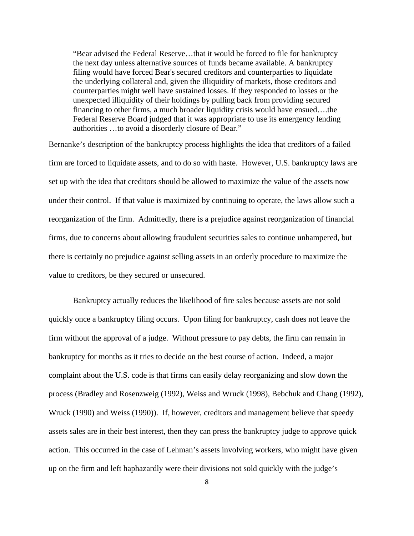"Bear advised the Federal Reserve…that it would be forced to file for bankruptcy the next day unless alternative sources of funds became available. A bankruptcy filing would have forced Bear's secured creditors and counterparties to liquidate the underlying collateral and, given the illiquidity of markets, those creditors and counterparties might well have sustained losses. If they responded to losses or the unexpected illiquidity of their holdings by pulling back from providing secured financing to other firms, a much broader liquidity crisis would have ensued….the Federal Reserve Board judged that it was appropriate to use its emergency lending authorities …to avoid a disorderly closure of Bear."

Bernanke's description of the bankruptcy process highlights the idea that creditors of a failed firm are forced to liquidate assets, and to do so with haste. However, U.S. bankruptcy laws are set up with the idea that creditors should be allowed to maximize the value of the assets now under their control. If that value is maximized by continuing to operate, the laws allow such a reorganization of the firm. Admittedly, there is a prejudice against reorganization of financial firms, due to concerns about allowing fraudulent securities sales to continue unhampered, but there is certainly no prejudice against selling assets in an orderly procedure to maximize the value to creditors, be they secured or unsecured.

Bankruptcy actually reduces the likelihood of fire sales because assets are not sold quickly once a bankruptcy filing occurs. Upon filing for bankruptcy, cash does not leave the firm without the approval of a judge. Without pressure to pay debts, the firm can remain in bankruptcy for months as it tries to decide on the best course of action. Indeed, a major complaint about the U.S. code is that firms can easily delay reorganizing and slow down the process (Bradley and Rosenzweig (1992), Weiss and Wruck (1998), Bebchuk and Chang (1992), Wruck (1990) and Weiss (1990)). If, however, creditors and management believe that speedy assets sales are in their best interest, then they can press the bankruptcy judge to approve quick action. This occurred in the case of Lehman's assets involving workers, who might have given up on the firm and left haphazardly were their divisions not sold quickly with the judge's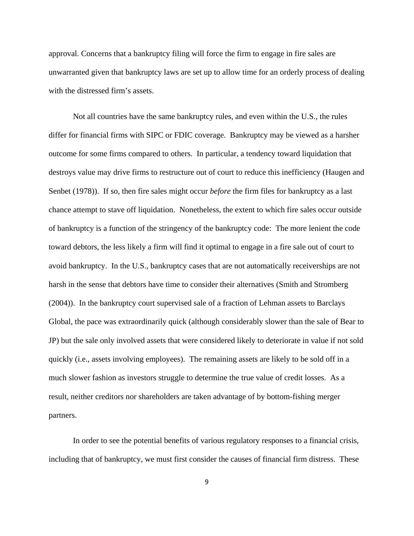approval. Concerns that a bankruptcy filing will force the firm to engage in fire sales are unwarranted given that bankruptcy laws are set up to allow time for an orderly process of dealing with the distressed firm's assets.

Not all countries have the same bankruptcy rules, and even within the U.S., the rules differ for financial firms with SIPC or FDIC coverage. Bankruptcy may be viewed as a harsher outcome for some firms compared to others. In particular, a tendency toward liquidation that destroys value may drive firms to restructure out of court to reduce this inefficiency (Haugen and Senbet (1978)). If so, then fire sales might occur *before* the firm files for bankruptcy as a last chance attempt to stave off liquidation. Nonetheless, the extent to which fire sales occur outside of bankruptcy is a function of the stringency of the bankruptcy code: The more lenient the code toward debtors, the less likely a firm will find it optimal to engage in a fire sale out of court to avoid bankruptcy. In the U.S., bankruptcy cases that are not automatically receiverships are not harsh in the sense that debtors have time to consider their alternatives (Smith and Stromberg (2004)). In the bankruptcy court supervised sale of a fraction of Lehman assets to Barclays Global, the pace was extraordinarily quick (although considerably slower than the sale of Bear to JP) but the sale only involved assets that were considered likely to deteriorate in value if not sold quickly (i.e., assets involving employees). The remaining assets are likely to be sold off in a much slower fashion as investors struggle to determine the true value of credit losses. As a result, neither creditors nor shareholders are taken advantage of by bottom-fishing merger partners.

In order to see the potential benefits of various regulatory responses to a financial crisis, including that of bankruptcy, we must first consider the causes of financial firm distress. These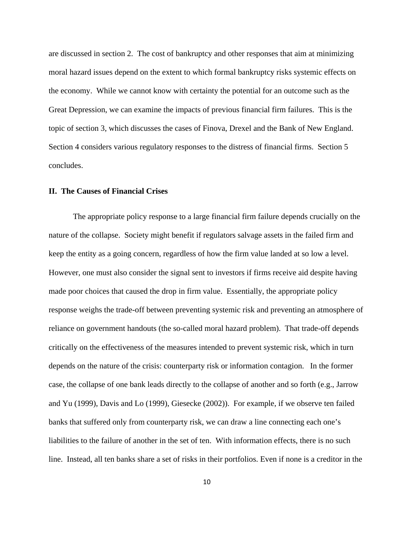are discussed in section 2. The cost of bankruptcy and other responses that aim at minimizing moral hazard issues depend on the extent to which formal bankruptcy risks systemic effects on the economy. While we cannot know with certainty the potential for an outcome such as the Great Depression, we can examine the impacts of previous financial firm failures. This is the topic of section 3, which discusses the cases of Finova, Drexel and the Bank of New England. Section 4 considers various regulatory responses to the distress of financial firms. Section 5 concludes.

# **II. The Causes of Financial Crises**

The appropriate policy response to a large financial firm failure depends crucially on the nature of the collapse. Society might benefit if regulators salvage assets in the failed firm and keep the entity as a going concern, regardless of how the firm value landed at so low a level. However, one must also consider the signal sent to investors if firms receive aid despite having made poor choices that caused the drop in firm value. Essentially, the appropriate policy response weighs the trade-off between preventing systemic risk and preventing an atmosphere of reliance on government handouts (the so-called moral hazard problem). That trade-off depends critically on the effectiveness of the measures intended to prevent systemic risk, which in turn depends on the nature of the crisis: counterparty risk or information contagion. In the former case, the collapse of one bank leads directly to the collapse of another and so forth (e.g., Jarrow and Yu (1999), Davis and Lo (1999), Giesecke (2002)). For example, if we observe ten failed banks that suffered only from counterparty risk, we can draw a line connecting each one's liabilities to the failure of another in the set of ten. With information effects, there is no such line. Instead, all ten banks share a set of risks in their portfolios. Even if none is a creditor in the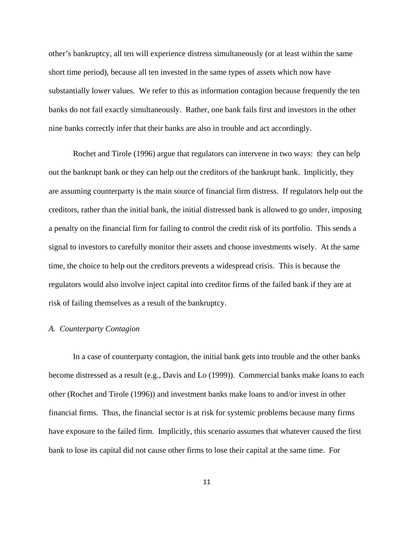other's bankruptcy, all ten will experience distress simultaneously (or at least within the same short time period), because all ten invested in the same types of assets which now have substantially lower values. We refer to this as information contagion because frequently the ten banks do not fail exactly simultaneously. Rather, one bank fails first and investors in the other nine banks correctly infer that their banks are also in trouble and act accordingly.

Rochet and Tirole (1996) argue that regulators can intervene in two ways: they can help out the bankrupt bank or they can help out the creditors of the bankrupt bank. Implicitly, they are assuming counterparty is the main source of financial firm distress. If regulators help out the creditors, rather than the initial bank, the initial distressed bank is allowed to go under, imposing a penalty on the financial firm for failing to control the credit risk of its portfolio. This sends a signal to investors to carefully monitor their assets and choose investments wisely. At the same time, the choice to help out the creditors prevents a widespread crisis. This is because the regulators would also involve inject capital into creditor firms of the failed bank if they are at risk of failing themselves as a result of the bankruptcy.

## *A. Counterparty Contagion*

 In a case of counterparty contagion, the initial bank gets into trouble and the other banks become distressed as a result (e.g., Davis and Lo (1999)). Commercial banks make loans to each other (Rochet and Tirole (1996)) and investment banks make loans to and/or invest in other financial firms. Thus, the financial sector is at risk for systemic problems because many firms have exposure to the failed firm. Implicitly, this scenario assumes that whatever caused the first bank to lose its capital did not cause other firms to lose their capital at the same time. For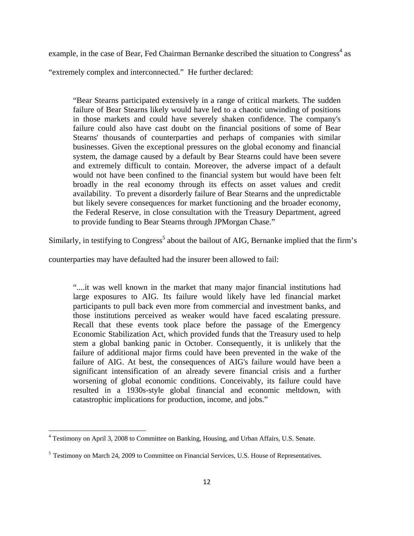example, in the case of Bear, Fed Chairman Bernanke described the situation to Congress<sup>4</sup> as

"extremely complex and interconnected." He further declared:

"Bear Stearns participated extensively in a range of critical markets. The sudden failure of Bear Stearns likely would have led to a chaotic unwinding of positions in those markets and could have severely shaken confidence. The company's failure could also have cast doubt on the financial positions of some of Bear Stearns' thousands of counterparties and perhaps of companies with similar businesses. Given the exceptional pressures on the global economy and financial system, the damage caused by a default by Bear Stearns could have been severe and extremely difficult to contain. Moreover, the adverse impact of a default would not have been confined to the financial system but would have been felt broadly in the real economy through its effects on asset values and credit availability. To prevent a disorderly failure of Bear Stearns and the unpredictable but likely severe consequences for market functioning and the broader economy, the Federal Reserve, in close consultation with the Treasury Department, agreed to provide funding to Bear Stearns through JPMorgan Chase."

Similarly, in testifying to Congress<sup>5</sup> about the bailout of AIG, Bernanke implied that the firm's

counterparties may have defaulted had the insurer been allowed to fail:

"....it was well known in the market that many major financial institutions had large exposures to AIG. Its failure would likely have led financial market participants to pull back even more from commercial and investment banks, and those institutions perceived as weaker would have faced escalating pressure. Recall that these events took place before the passage of the Emergency Economic Stabilization Act, which provided funds that the Treasury used to help stem a global banking panic in October. Consequently, it is unlikely that the failure of additional major firms could have been prevented in the wake of the failure of AIG. At best, the consequences of AIG's failure would have been a significant intensification of an already severe financial crisis and a further worsening of global economic conditions. Conceivably, its failure could have resulted in a 1930s-style global financial and economic meltdown, with catastrophic implications for production, income, and jobs."

 4 Testimony on April 3, 2008 to Committee on Banking, Housing, and Urban Affairs, U.S. Senate.

<sup>&</sup>lt;sup>5</sup> Testimony on March 24, 2009 to Committee on Financial Services, U.S. House of Representatives.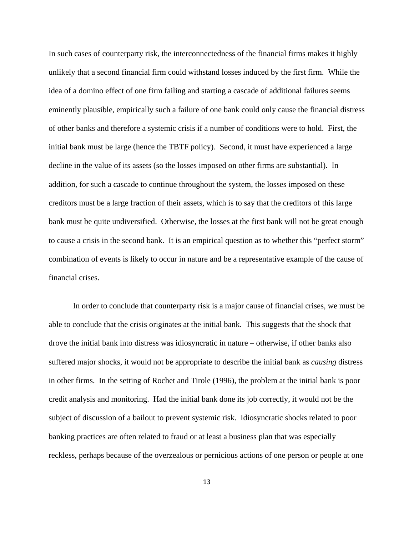In such cases of counterparty risk, the interconnectedness of the financial firms makes it highly unlikely that a second financial firm could withstand losses induced by the first firm. While the idea of a domino effect of one firm failing and starting a cascade of additional failures seems eminently plausible, empirically such a failure of one bank could only cause the financial distress of other banks and therefore a systemic crisis if a number of conditions were to hold. First, the initial bank must be large (hence the TBTF policy). Second, it must have experienced a large decline in the value of its assets (so the losses imposed on other firms are substantial). In addition, for such a cascade to continue throughout the system, the losses imposed on these creditors must be a large fraction of their assets, which is to say that the creditors of this large bank must be quite undiversified. Otherwise, the losses at the first bank will not be great enough to cause a crisis in the second bank. It is an empirical question as to whether this "perfect storm" combination of events is likely to occur in nature and be a representative example of the cause of financial crises.

In order to conclude that counterparty risk is a major cause of financial crises, we must be able to conclude that the crisis originates at the initial bank. This suggests that the shock that drove the initial bank into distress was idiosyncratic in nature – otherwise, if other banks also suffered major shocks, it would not be appropriate to describe the initial bank as *causing* distress in other firms. In the setting of Rochet and Tirole (1996), the problem at the initial bank is poor credit analysis and monitoring. Had the initial bank done its job correctly, it would not be the subject of discussion of a bailout to prevent systemic risk. Idiosyncratic shocks related to poor banking practices are often related to fraud or at least a business plan that was especially reckless, perhaps because of the overzealous or pernicious actions of one person or people at one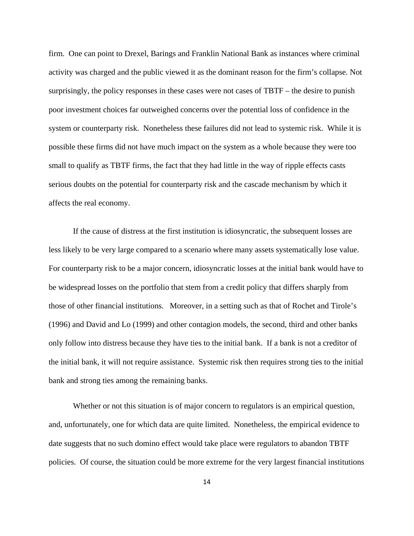firm. One can point to Drexel, Barings and Franklin National Bank as instances where criminal activity was charged and the public viewed it as the dominant reason for the firm's collapse. Not surprisingly, the policy responses in these cases were not cases of TBTF – the desire to punish poor investment choices far outweighed concerns over the potential loss of confidence in the system or counterparty risk. Nonetheless these failures did not lead to systemic risk. While it is possible these firms did not have much impact on the system as a whole because they were too small to qualify as TBTF firms, the fact that they had little in the way of ripple effects casts serious doubts on the potential for counterparty risk and the cascade mechanism by which it affects the real economy.

If the cause of distress at the first institution is idiosyncratic, the subsequent losses are less likely to be very large compared to a scenario where many assets systematically lose value. For counterparty risk to be a major concern, idiosyncratic losses at the initial bank would have to be widespread losses on the portfolio that stem from a credit policy that differs sharply from those of other financial institutions. Moreover, in a setting such as that of Rochet and Tirole's (1996) and David and Lo (1999) and other contagion models, the second, third and other banks only follow into distress because they have ties to the initial bank. If a bank is not a creditor of the initial bank, it will not require assistance. Systemic risk then requires strong ties to the initial bank and strong ties among the remaining banks.

Whether or not this situation is of major concern to regulators is an empirical question, and, unfortunately, one for which data are quite limited. Nonetheless, the empirical evidence to date suggests that no such domino effect would take place were regulators to abandon TBTF policies. Of course, the situation could be more extreme for the very largest financial institutions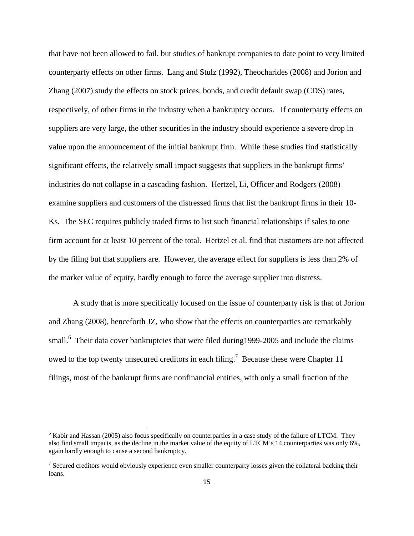that have not been allowed to fail, but studies of bankrupt companies to date point to very limited counterparty effects on other firms. Lang and Stulz (1992), Theocharides (2008) and Jorion and Zhang (2007) study the effects on stock prices, bonds, and credit default swap (CDS) rates, respectively, of other firms in the industry when a bankruptcy occurs. If counterparty effects on suppliers are very large, the other securities in the industry should experience a severe drop in value upon the announcement of the initial bankrupt firm. While these studies find statistically significant effects, the relatively small impact suggests that suppliers in the bankrupt firms' industries do not collapse in a cascading fashion. Hertzel, Li, Officer and Rodgers (2008) examine suppliers and customers of the distressed firms that list the bankrupt firms in their 10- Ks. The SEC requires publicly traded firms to list such financial relationships if sales to one firm account for at least 10 percent of the total. Hertzel et al. find that customers are not affected by the filing but that suppliers are. However, the average effect for suppliers is less than 2% of the market value of equity, hardly enough to force the average supplier into distress.

A study that is more specifically focused on the issue of counterparty risk is that of Jorion and Zhang (2008), henceforth JZ, who show that the effects on counterparties are remarkably small.<sup>6</sup> Their data cover bankruptcies that were filed during1999-2005 and include the claims owed to the top twenty unsecured creditors in each filing.<sup>7</sup> Because these were Chapter 11 filings, most of the bankrupt firms are nonfinancial entities, with only a small fraction of the

<sup>&</sup>lt;sup>6</sup> Kabir and Hassan (2005) also focus specifically on counterparties in a case study of the failure of LTCM. They also find small impacts, as the decline in the market value of the equity of LTCM's 14 counterparties was only 6%, again hardly enough to cause a second bankruptcy.

<sup>&</sup>lt;sup>7</sup> Secured creditors would obviously experience even smaller counterparty losses given the collateral backing their loans.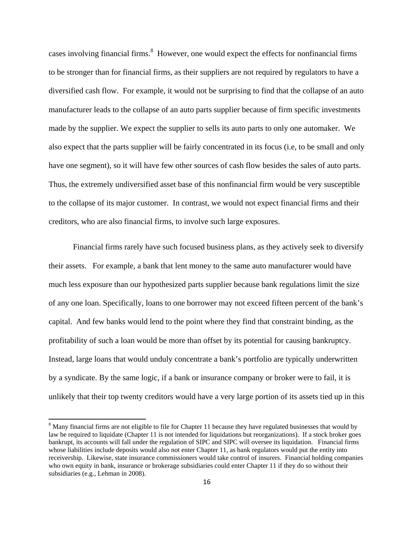cases involving financial firms.<sup>8</sup> However, one would expect the effects for nonfinancial firms to be stronger than for financial firms, as their suppliers are not required by regulators to have a diversified cash flow. For example, it would not be surprising to find that the collapse of an auto manufacturer leads to the collapse of an auto parts supplier because of firm specific investments made by the supplier. We expect the supplier to sells its auto parts to only one automaker. We also expect that the parts supplier will be fairly concentrated in its focus (i.e, to be small and only have one segment), so it will have few other sources of cash flow besides the sales of auto parts. Thus, the extremely undiversified asset base of this nonfinancial firm would be very susceptible to the collapse of its major customer. In contrast, we would not expect financial firms and their creditors, who are also financial firms, to involve such large exposures.

Financial firms rarely have such focused business plans, as they actively seek to diversify their assets. For example, a bank that lent money to the same auto manufacturer would have much less exposure than our hypothesized parts supplier because bank regulations limit the size of any one loan. Specifically, loans to one borrower may not exceed fifteen percent of the bank's capital. And few banks would lend to the point where they find that constraint binding, as the profitability of such a loan would be more than offset by its potential for causing bankruptcy. Instead, large loans that would unduly concentrate a bank's portfolio are typically underwritten by a syndicate. By the same logic, if a bank or insurance company or broker were to fail, it is unlikely that their top twenty creditors would have a very large portion of its assets tied up in this

 $8$  Many financial firms are not eligible to file for Chapter 11 because they have regulated businesses that would by law be required to liquidate (Chapter 11 is not intended for liquidations but reorganizations). If a stock broker goes bankrupt, its accounts will fall under the regulation of SIPC and SIPC will oversee its liquidation. Financial firms whose liabilities include deposits would also not enter Chapter 11, as bank regulators would put the entity into receivership. Likewise, state insurance commissioners would take control of insurers. Financial holding companies who own equity in bank, insurance or brokerage subsidiaries could enter Chapter 11 if they do so without their subsidiaries (e.g., Lehman in 2008).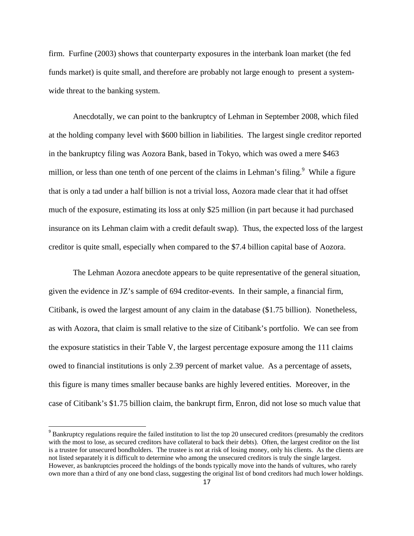firm. Furfine (2003) shows that counterparty exposures in the interbank loan market (the fed funds market) is quite small, and therefore are probably not large enough to present a systemwide threat to the banking system.

Anecdotally, we can point to the bankruptcy of Lehman in September 2008, which filed at the holding company level with \$600 billion in liabilities. The largest single creditor reported in the bankruptcy filing was Aozora Bank, based in Tokyo, which was owed a mere \$463 million, or less than one tenth of one percent of the claims in Lehman's filing.<sup>9</sup> While a figure that is only a tad under a half billion is not a trivial loss, Aozora made clear that it had offset much of the exposure, estimating its loss at only \$25 million (in part because it had purchased insurance on its Lehman claim with a credit default swap). Thus, the expected loss of the largest creditor is quite small, especially when compared to the \$7.4 billion capital base of Aozora.

The Lehman Aozora anecdote appears to be quite representative of the general situation, given the evidence in JZ's sample of 694 creditor-events. In their sample, a financial firm, Citibank, is owed the largest amount of any claim in the database (\$1.75 billion). Nonetheless, as with Aozora, that claim is small relative to the size of Citibank's portfolio. We can see from the exposure statistics in their Table V, the largest percentage exposure among the 111 claims owed to financial institutions is only 2.39 percent of market value. As a percentage of assets, this figure is many times smaller because banks are highly levered entities. Moreover, in the case of Citibank's \$1.75 billion claim, the bankrupt firm, Enron, did not lose so much value that

<sup>&</sup>lt;sup>9</sup> Bankruptcy regulations require the failed institution to list the top 20 unsecured creditors (presumably the creditors with the most to lose, as secured creditors have collateral to back their debts). Often, the largest creditor on the list is a trustee for unsecured bondholders. The trustee is not at risk of losing money, only his clients. As the clients are not listed separately it is difficult to determine who among the unsecured creditors is truly the single largest. However, as bankruptcies proceed the holdings of the bonds typically move into the hands of vultures, who rarely own more than a third of any one bond class, suggesting the original list of bond creditors had much lower holdings.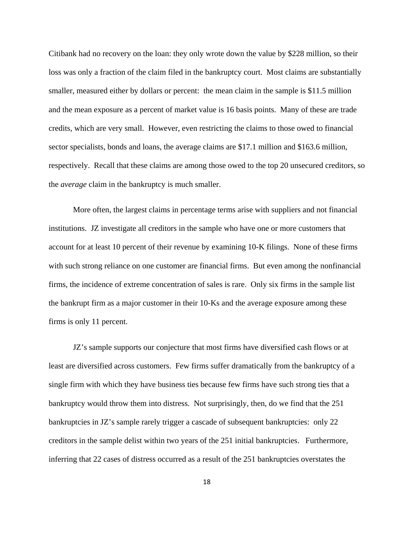Citibank had no recovery on the loan: they only wrote down the value by \$228 million, so their loss was only a fraction of the claim filed in the bankruptcy court. Most claims are substantially smaller, measured either by dollars or percent: the mean claim in the sample is \$11.5 million and the mean exposure as a percent of market value is 16 basis points. Many of these are trade credits, which are very small. However, even restricting the claims to those owed to financial sector specialists, bonds and loans, the average claims are \$17.1 million and \$163.6 million, respectively. Recall that these claims are among those owed to the top 20 unsecured creditors, so the *average* claim in the bankruptcy is much smaller.

More often, the largest claims in percentage terms arise with suppliers and not financial institutions. JZ investigate all creditors in the sample who have one or more customers that account for at least 10 percent of their revenue by examining 10-K filings. None of these firms with such strong reliance on one customer are financial firms. But even among the nonfinancial firms, the incidence of extreme concentration of sales is rare. Only six firms in the sample list the bankrupt firm as a major customer in their 10-Ks and the average exposure among these firms is only 11 percent.

JZ's sample supports our conjecture that most firms have diversified cash flows or at least are diversified across customers. Few firms suffer dramatically from the bankruptcy of a single firm with which they have business ties because few firms have such strong ties that a bankruptcy would throw them into distress. Not surprisingly, then, do we find that the 251 bankruptcies in JZ's sample rarely trigger a cascade of subsequent bankruptcies: only 22 creditors in the sample delist within two years of the 251 initial bankruptcies. Furthermore, inferring that 22 cases of distress occurred as a result of the 251 bankruptcies overstates the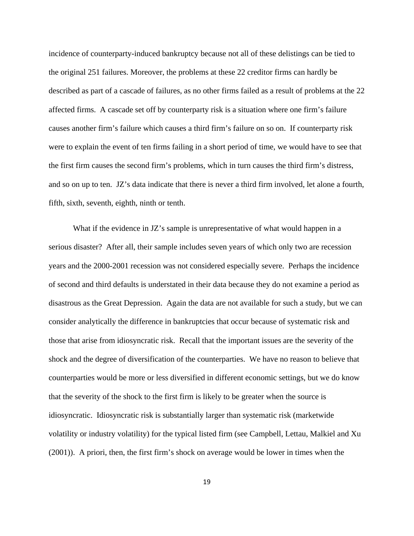incidence of counterparty-induced bankruptcy because not all of these delistings can be tied to the original 251 failures. Moreover, the problems at these 22 creditor firms can hardly be described as part of a cascade of failures, as no other firms failed as a result of problems at the 22 affected firms. A cascade set off by counterparty risk is a situation where one firm's failure causes another firm's failure which causes a third firm's failure on so on. If counterparty risk were to explain the event of ten firms failing in a short period of time, we would have to see that the first firm causes the second firm's problems, which in turn causes the third firm's distress, and so on up to ten. JZ's data indicate that there is never a third firm involved, let alone a fourth, fifth, sixth, seventh, eighth, ninth or tenth.

What if the evidence in JZ's sample is unrepresentative of what would happen in a serious disaster? After all, their sample includes seven years of which only two are recession years and the 2000-2001 recession was not considered especially severe. Perhaps the incidence of second and third defaults is understated in their data because they do not examine a period as disastrous as the Great Depression. Again the data are not available for such a study, but we can consider analytically the difference in bankruptcies that occur because of systematic risk and those that arise from idiosyncratic risk. Recall that the important issues are the severity of the shock and the degree of diversification of the counterparties. We have no reason to believe that counterparties would be more or less diversified in different economic settings, but we do know that the severity of the shock to the first firm is likely to be greater when the source is idiosyncratic. Idiosyncratic risk is substantially larger than systematic risk (marketwide volatility or industry volatility) for the typical listed firm (see Campbell, Lettau, Malkiel and Xu (2001)). A priori, then, the first firm's shock on average would be lower in times when the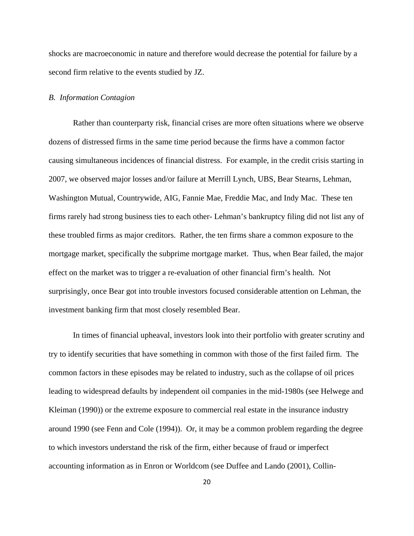shocks are macroeconomic in nature and therefore would decrease the potential for failure by a second firm relative to the events studied by JZ.

### *B. Information Contagion*

Rather than counterparty risk, financial crises are more often situations where we observe dozens of distressed firms in the same time period because the firms have a common factor causing simultaneous incidences of financial distress. For example, in the credit crisis starting in 2007, we observed major losses and/or failure at Merrill Lynch, UBS, Bear Stearns, Lehman, Washington Mutual, Countrywide, AIG, Fannie Mae, Freddie Mac, and Indy Mac. These ten firms rarely had strong business ties to each other- Lehman's bankruptcy filing did not list any of these troubled firms as major creditors. Rather, the ten firms share a common exposure to the mortgage market, specifically the subprime mortgage market. Thus, when Bear failed, the major effect on the market was to trigger a re-evaluation of other financial firm's health. Not surprisingly, once Bear got into trouble investors focused considerable attention on Lehman, the investment banking firm that most closely resembled Bear.

In times of financial upheaval, investors look into their portfolio with greater scrutiny and try to identify securities that have something in common with those of the first failed firm. The common factors in these episodes may be related to industry, such as the collapse of oil prices leading to widespread defaults by independent oil companies in the mid-1980s (see Helwege and Kleiman (1990)) or the extreme exposure to commercial real estate in the insurance industry around 1990 (see Fenn and Cole (1994)). Or, it may be a common problem regarding the degree to which investors understand the risk of the firm, either because of fraud or imperfect accounting information as in Enron or Worldcom (see Duffee and Lando (2001), Collin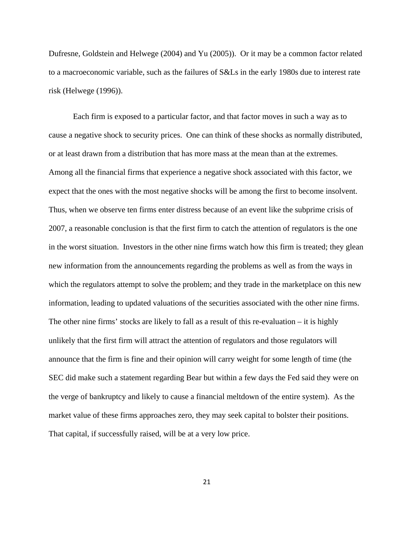Dufresne, Goldstein and Helwege (2004) and Yu (2005)). Or it may be a common factor related to a macroeconomic variable, such as the failures of S&Ls in the early 1980s due to interest rate risk (Helwege (1996)).

Each firm is exposed to a particular factor, and that factor moves in such a way as to cause a negative shock to security prices. One can think of these shocks as normally distributed, or at least drawn from a distribution that has more mass at the mean than at the extremes. Among all the financial firms that experience a negative shock associated with this factor, we expect that the ones with the most negative shocks will be among the first to become insolvent. Thus, when we observe ten firms enter distress because of an event like the subprime crisis of 2007, a reasonable conclusion is that the first firm to catch the attention of regulators is the one in the worst situation. Investors in the other nine firms watch how this firm is treated; they glean new information from the announcements regarding the problems as well as from the ways in which the regulators attempt to solve the problem; and they trade in the marketplace on this new information, leading to updated valuations of the securities associated with the other nine firms. The other nine firms' stocks are likely to fall as a result of this re-evaluation – it is highly unlikely that the first firm will attract the attention of regulators and those regulators will announce that the firm is fine and their opinion will carry weight for some length of time (the SEC did make such a statement regarding Bear but within a few days the Fed said they were on the verge of bankruptcy and likely to cause a financial meltdown of the entire system). As the market value of these firms approaches zero, they may seek capital to bolster their positions. That capital, if successfully raised, will be at a very low price.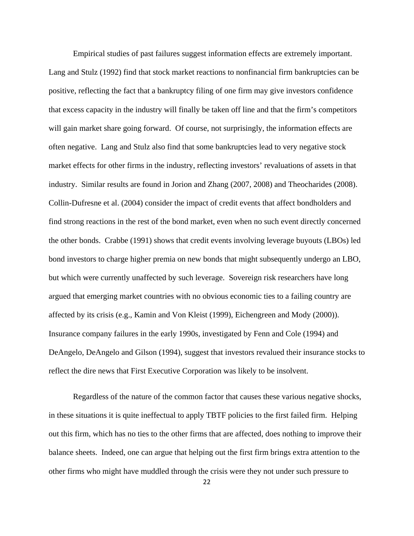Empirical studies of past failures suggest information effects are extremely important. Lang and Stulz (1992) find that stock market reactions to nonfinancial firm bankruptcies can be positive, reflecting the fact that a bankruptcy filing of one firm may give investors confidence that excess capacity in the industry will finally be taken off line and that the firm's competitors will gain market share going forward. Of course, not surprisingly, the information effects are often negative. Lang and Stulz also find that some bankruptcies lead to very negative stock market effects for other firms in the industry, reflecting investors' revaluations of assets in that industry. Similar results are found in Jorion and Zhang (2007, 2008) and Theocharides (2008). Collin-Dufresne et al. (2004) consider the impact of credit events that affect bondholders and find strong reactions in the rest of the bond market, even when no such event directly concerned the other bonds. Crabbe (1991) shows that credit events involving leverage buyouts (LBOs) led bond investors to charge higher premia on new bonds that might subsequently undergo an LBO, but which were currently unaffected by such leverage. Sovereign risk researchers have long argued that emerging market countries with no obvious economic ties to a failing country are affected by its crisis (e.g., Kamin and Von Kleist (1999), Eichengreen and Mody (2000)). Insurance company failures in the early 1990s, investigated by Fenn and Cole (1994) and DeAngelo, DeAngelo and Gilson (1994), suggest that investors revalued their insurance stocks to reflect the dire news that First Executive Corporation was likely to be insolvent.

Regardless of the nature of the common factor that causes these various negative shocks, in these situations it is quite ineffectual to apply TBTF policies to the first failed firm. Helping out this firm, which has no ties to the other firms that are affected, does nothing to improve their balance sheets. Indeed, one can argue that helping out the first firm brings extra attention to the other firms who might have muddled through the crisis were they not under such pressure to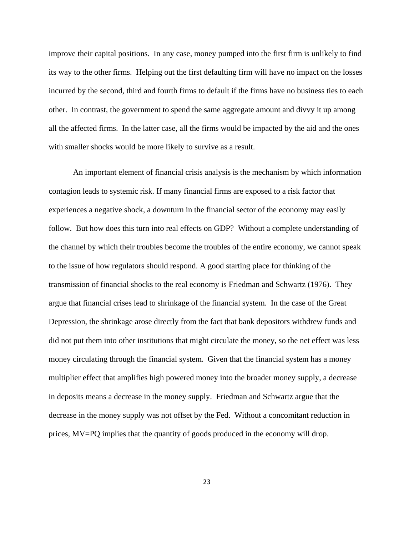improve their capital positions. In any case, money pumped into the first firm is unlikely to find its way to the other firms. Helping out the first defaulting firm will have no impact on the losses incurred by the second, third and fourth firms to default if the firms have no business ties to each other. In contrast, the government to spend the same aggregate amount and divvy it up among all the affected firms. In the latter case, all the firms would be impacted by the aid and the ones with smaller shocks would be more likely to survive as a result.

An important element of financial crisis analysis is the mechanism by which information contagion leads to systemic risk. If many financial firms are exposed to a risk factor that experiences a negative shock, a downturn in the financial sector of the economy may easily follow. But how does this turn into real effects on GDP? Without a complete understanding of the channel by which their troubles become the troubles of the entire economy, we cannot speak to the issue of how regulators should respond. A good starting place for thinking of the transmission of financial shocks to the real economy is Friedman and Schwartz (1976). They argue that financial crises lead to shrinkage of the financial system. In the case of the Great Depression, the shrinkage arose directly from the fact that bank depositors withdrew funds and did not put them into other institutions that might circulate the money, so the net effect was less money circulating through the financial system. Given that the financial system has a money multiplier effect that amplifies high powered money into the broader money supply, a decrease in deposits means a decrease in the money supply. Friedman and Schwartz argue that the decrease in the money supply was not offset by the Fed. Without a concomitant reduction in prices, MV=PQ implies that the quantity of goods produced in the economy will drop.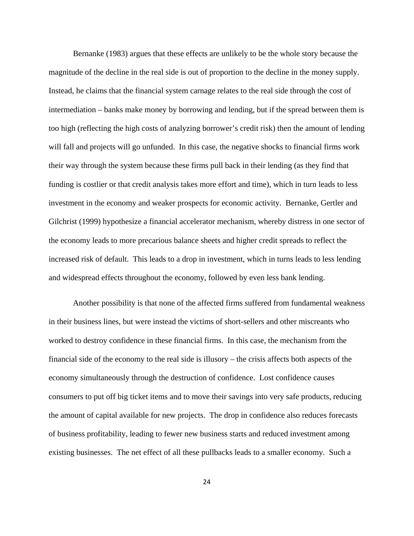Bernanke (1983) argues that these effects are unlikely to be the whole story because the magnitude of the decline in the real side is out of proportion to the decline in the money supply. Instead, he claims that the financial system carnage relates to the real side through the cost of intermediation – banks make money by borrowing and lending, but if the spread between them is too high (reflecting the high costs of analyzing borrower's credit risk) then the amount of lending will fall and projects will go unfunded. In this case, the negative shocks to financial firms work their way through the system because these firms pull back in their lending (as they find that funding is costlier or that credit analysis takes more effort and time), which in turn leads to less investment in the economy and weaker prospects for economic activity. Bernanke, Gertler and Gilchrist (1999) hypothesize a financial accelerator mechanism, whereby distress in one sector of the economy leads to more precarious balance sheets and higher credit spreads to reflect the increased risk of default. This leads to a drop in investment, which in turns leads to less lending and widespread effects throughout the economy, followed by even less bank lending.

Another possibility is that none of the affected firms suffered from fundamental weakness in their business lines, but were instead the victims of short-sellers and other miscreants who worked to destroy confidence in these financial firms. In this case, the mechanism from the financial side of the economy to the real side is illusory – the crisis affects both aspects of the economy simultaneously through the destruction of confidence. Lost confidence causes consumers to put off big ticket items and to move their savings into very safe products, reducing the amount of capital available for new projects. The drop in confidence also reduces forecasts of business profitability, leading to fewer new business starts and reduced investment among existing businesses. The net effect of all these pullbacks leads to a smaller economy. Such a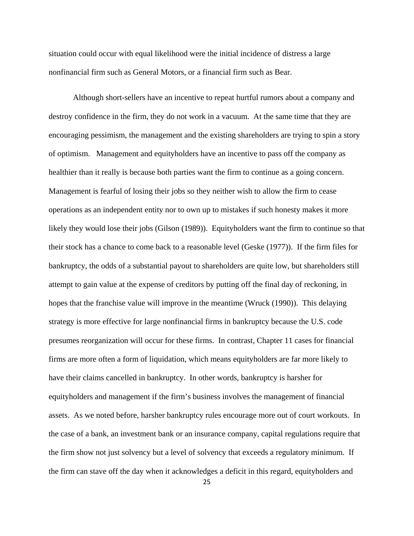situation could occur with equal likelihood were the initial incidence of distress a large nonfinancial firm such as General Motors, or a financial firm such as Bear.

Although short-sellers have an incentive to repeat hurtful rumors about a company and destroy confidence in the firm, they do not work in a vacuum. At the same time that they are encouraging pessimism, the management and the existing shareholders are trying to spin a story of optimism. Management and equityholders have an incentive to pass off the company as healthier than it really is because both parties want the firm to continue as a going concern. Management is fearful of losing their jobs so they neither wish to allow the firm to cease operations as an independent entity nor to own up to mistakes if such honesty makes it more likely they would lose their jobs (Gilson (1989)). Equityholders want the firm to continue so that their stock has a chance to come back to a reasonable level (Geske (1977)). If the firm files for bankruptcy, the odds of a substantial payout to shareholders are quite low, but shareholders still attempt to gain value at the expense of creditors by putting off the final day of reckoning, in hopes that the franchise value will improve in the meantime (Wruck (1990)). This delaying strategy is more effective for large nonfinancial firms in bankruptcy because the U.S. code presumes reorganization will occur for these firms. In contrast, Chapter 11 cases for financial firms are more often a form of liquidation, which means equityholders are far more likely to have their claims cancelled in bankruptcy. In other words, bankruptcy is harsher for equityholders and management if the firm's business involves the management of financial assets. As we noted before, harsher bankruptcy rules encourage more out of court workouts. In the case of a bank, an investment bank or an insurance company, capital regulations require that the firm show not just solvency but a level of solvency that exceeds a regulatory minimum. If the firm can stave off the day when it acknowledges a deficit in this regard, equityholders and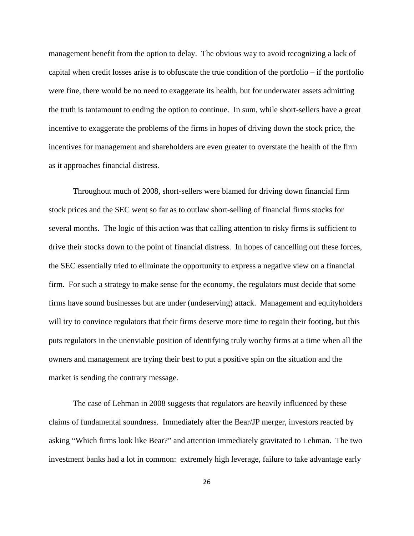management benefit from the option to delay. The obvious way to avoid recognizing a lack of capital when credit losses arise is to obfuscate the true condition of the portfolio – if the portfolio were fine, there would be no need to exaggerate its health, but for underwater assets admitting the truth is tantamount to ending the option to continue. In sum, while short-sellers have a great incentive to exaggerate the problems of the firms in hopes of driving down the stock price, the incentives for management and shareholders are even greater to overstate the health of the firm as it approaches financial distress.

Throughout much of 2008, short-sellers were blamed for driving down financial firm stock prices and the SEC went so far as to outlaw short-selling of financial firms stocks for several months. The logic of this action was that calling attention to risky firms is sufficient to drive their stocks down to the point of financial distress. In hopes of cancelling out these forces, the SEC essentially tried to eliminate the opportunity to express a negative view on a financial firm. For such a strategy to make sense for the economy, the regulators must decide that some firms have sound businesses but are under (undeserving) attack. Management and equityholders will try to convince regulators that their firms deserve more time to regain their footing, but this puts regulators in the unenviable position of identifying truly worthy firms at a time when all the owners and management are trying their best to put a positive spin on the situation and the market is sending the contrary message.

The case of Lehman in 2008 suggests that regulators are heavily influenced by these claims of fundamental soundness. Immediately after the Bear/JP merger, investors reacted by asking "Which firms look like Bear?" and attention immediately gravitated to Lehman. The two investment banks had a lot in common: extremely high leverage, failure to take advantage early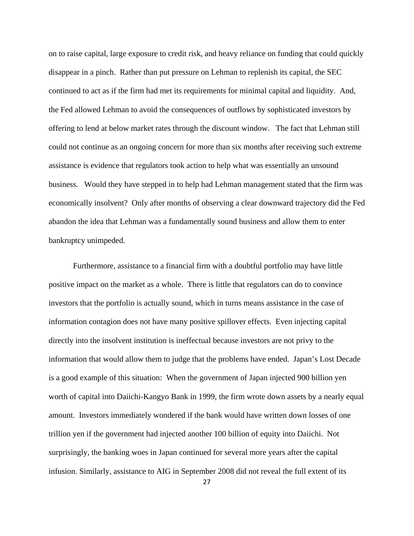on to raise capital, large exposure to credit risk, and heavy reliance on funding that could quickly disappear in a pinch. Rather than put pressure on Lehman to replenish its capital, the SEC continued to act as if the firm had met its requirements for minimal capital and liquidity. And, the Fed allowed Lehman to avoid the consequences of outflows by sophisticated investors by offering to lend at below market rates through the discount window. The fact that Lehman still could not continue as an ongoing concern for more than six months after receiving such extreme assistance is evidence that regulators took action to help what was essentially an unsound business. Would they have stepped in to help had Lehman management stated that the firm was economically insolvent? Only after months of observing a clear downward trajectory did the Fed abandon the idea that Lehman was a fundamentally sound business and allow them to enter bankruptcy unimpeded.

Furthermore, assistance to a financial firm with a doubtful portfolio may have little positive impact on the market as a whole. There is little that regulators can do to convince investors that the portfolio is actually sound, which in turns means assistance in the case of information contagion does not have many positive spillover effects. Even injecting capital directly into the insolvent institution is ineffectual because investors are not privy to the information that would allow them to judge that the problems have ended. Japan's Lost Decade is a good example of this situation: When the government of Japan injected 900 billion yen worth of capital into Daiichi-Kangyo Bank in 1999, the firm wrote down assets by a nearly equal amount. Investors immediately wondered if the bank would have written down losses of one trillion yen if the government had injected another 100 billion of equity into Daiichi. Not surprisingly, the banking woes in Japan continued for several more years after the capital infusion. Similarly, assistance to AIG in September 2008 did not reveal the full extent of its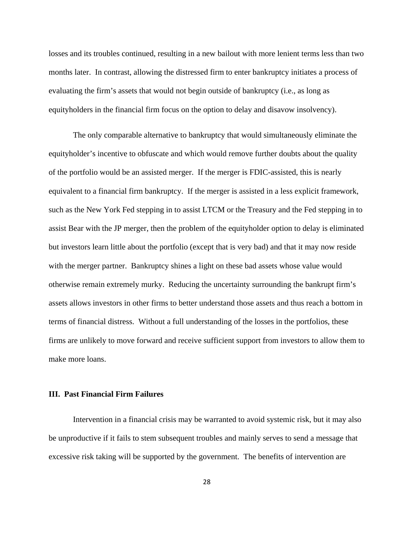losses and its troubles continued, resulting in a new bailout with more lenient terms less than two months later. In contrast, allowing the distressed firm to enter bankruptcy initiates a process of evaluating the firm's assets that would not begin outside of bankruptcy (i.e., as long as equityholders in the financial firm focus on the option to delay and disavow insolvency).

The only comparable alternative to bankruptcy that would simultaneously eliminate the equityholder's incentive to obfuscate and which would remove further doubts about the quality of the portfolio would be an assisted merger. If the merger is FDIC-assisted, this is nearly equivalent to a financial firm bankruptcy. If the merger is assisted in a less explicit framework, such as the New York Fed stepping in to assist LTCM or the Treasury and the Fed stepping in to assist Bear with the JP merger, then the problem of the equityholder option to delay is eliminated but investors learn little about the portfolio (except that is very bad) and that it may now reside with the merger partner. Bankruptcy shines a light on these bad assets whose value would otherwise remain extremely murky. Reducing the uncertainty surrounding the bankrupt firm's assets allows investors in other firms to better understand those assets and thus reach a bottom in terms of financial distress. Without a full understanding of the losses in the portfolios, these firms are unlikely to move forward and receive sufficient support from investors to allow them to make more loans.

## **III. Past Financial Firm Failures**

Intervention in a financial crisis may be warranted to avoid systemic risk, but it may also be unproductive if it fails to stem subsequent troubles and mainly serves to send a message that excessive risk taking will be supported by the government. The benefits of intervention are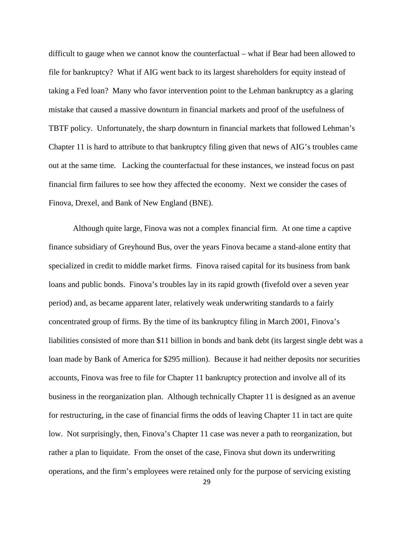difficult to gauge when we cannot know the counterfactual – what if Bear had been allowed to file for bankruptcy? What if AIG went back to its largest shareholders for equity instead of taking a Fed loan? Many who favor intervention point to the Lehman bankruptcy as a glaring mistake that caused a massive downturn in financial markets and proof of the usefulness of TBTF policy. Unfortunately, the sharp downturn in financial markets that followed Lehman's Chapter 11 is hard to attribute to that bankruptcy filing given that news of AIG's troubles came out at the same time. Lacking the counterfactual for these instances, we instead focus on past financial firm failures to see how they affected the economy. Next we consider the cases of Finova, Drexel, and Bank of New England (BNE).

Although quite large, Finova was not a complex financial firm. At one time a captive finance subsidiary of Greyhound Bus, over the years Finova became a stand-alone entity that specialized in credit to middle market firms. Finova raised capital for its business from bank loans and public bonds. Finova's troubles lay in its rapid growth (fivefold over a seven year period) and, as became apparent later, relatively weak underwriting standards to a fairly concentrated group of firms. By the time of its bankruptcy filing in March 2001, Finova's liabilities consisted of more than \$11 billion in bonds and bank debt (its largest single debt was a loan made by Bank of America for \$295 million). Because it had neither deposits nor securities accounts, Finova was free to file for Chapter 11 bankruptcy protection and involve all of its business in the reorganization plan. Although technically Chapter 11 is designed as an avenue for restructuring, in the case of financial firms the odds of leaving Chapter 11 in tact are quite low. Not surprisingly, then, Finova's Chapter 11 case was never a path to reorganization, but rather a plan to liquidate. From the onset of the case, Finova shut down its underwriting operations, and the firm's employees were retained only for the purpose of servicing existing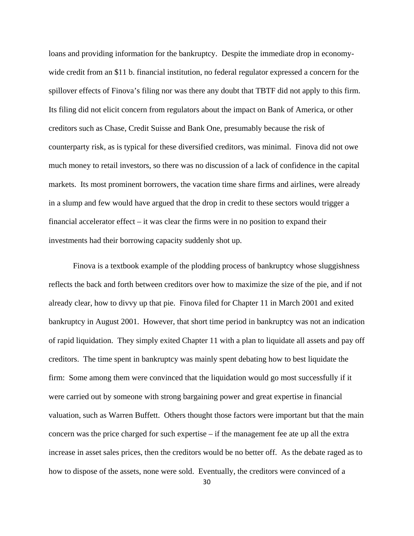loans and providing information for the bankruptcy. Despite the immediate drop in economywide credit from an \$11 b. financial institution, no federal regulator expressed a concern for the spillover effects of Finova's filing nor was there any doubt that TBTF did not apply to this firm. Its filing did not elicit concern from regulators about the impact on Bank of America, or other creditors such as Chase, Credit Suisse and Bank One, presumably because the risk of counterparty risk, as is typical for these diversified creditors, was minimal. Finova did not owe much money to retail investors, so there was no discussion of a lack of confidence in the capital markets. Its most prominent borrowers, the vacation time share firms and airlines, were already in a slump and few would have argued that the drop in credit to these sectors would trigger a financial accelerator effect – it was clear the firms were in no position to expand their investments had their borrowing capacity suddenly shot up.

Finova is a textbook example of the plodding process of bankruptcy whose sluggishness reflects the back and forth between creditors over how to maximize the size of the pie, and if not already clear, how to divvy up that pie. Finova filed for Chapter 11 in March 2001 and exited bankruptcy in August 2001. However, that short time period in bankruptcy was not an indication of rapid liquidation. They simply exited Chapter 11 with a plan to liquidate all assets and pay off creditors. The time spent in bankruptcy was mainly spent debating how to best liquidate the firm: Some among them were convinced that the liquidation would go most successfully if it were carried out by someone with strong bargaining power and great expertise in financial valuation, such as Warren Buffett. Others thought those factors were important but that the main concern was the price charged for such expertise – if the management fee ate up all the extra increase in asset sales prices, then the creditors would be no better off. As the debate raged as to how to dispose of the assets, none were sold. Eventually, the creditors were convinced of a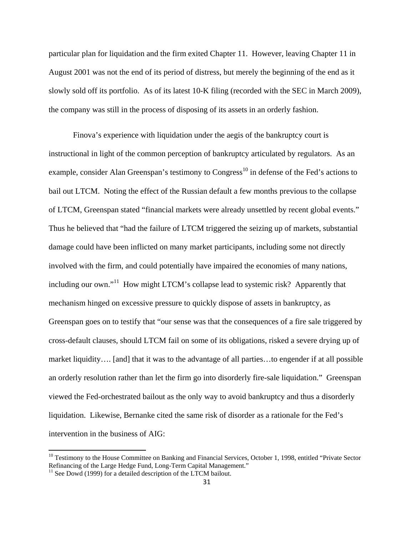particular plan for liquidation and the firm exited Chapter 11. However, leaving Chapter 11 in August 2001 was not the end of its period of distress, but merely the beginning of the end as it slowly sold off its portfolio. As of its latest 10-K filing (recorded with the SEC in March 2009), the company was still in the process of disposing of its assets in an orderly fashion.

Finova's experience with liquidation under the aegis of the bankruptcy court is instructional in light of the common perception of bankruptcy articulated by regulators. As an example, consider Alan Greenspan's testimony to Congress<sup>10</sup> in defense of the Fed's actions to bail out LTCM. Noting the effect of the Russian default a few months previous to the collapse of LTCM, Greenspan stated "financial markets were already unsettled by recent global events." Thus he believed that "had the failure of LTCM triggered the seizing up of markets, substantial damage could have been inflicted on many market participants, including some not directly involved with the firm, and could potentially have impaired the economies of many nations, including our own."<sup>11</sup> How might LTCM's collapse lead to systemic risk? Apparently that mechanism hinged on excessive pressure to quickly dispose of assets in bankruptcy, as Greenspan goes on to testify that "our sense was that the consequences of a fire sale triggered by cross-default clauses, should LTCM fail on some of its obligations, risked a severe drying up of market liquidity…. [and] that it was to the advantage of all parties…to engender if at all possible an orderly resolution rather than let the firm go into disorderly fire-sale liquidation." Greenspan viewed the Fed-orchestrated bailout as the only way to avoid bankruptcy and thus a disorderly liquidation. Likewise, Bernanke cited the same risk of disorder as a rationale for the Fed's intervention in the business of AIG:

<sup>&</sup>lt;sup>10</sup> Testimony to the House Committee on Banking and Financial Services, October 1, 1998, entitled "Private Sector Refinancing of the Large Hedge Fund, Long-Term Capital Management."

 $11$  See Dowd (1999) for a detailed description of the LTCM bailout.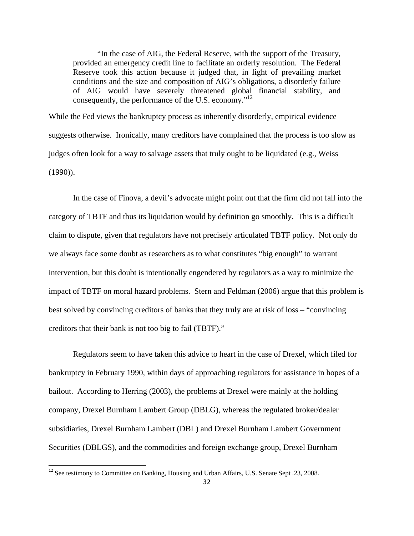"In the case of AIG, the Federal Reserve, with the support of the Treasury, provided an emergency credit line to facilitate an orderly resolution. The Federal Reserve took this action because it judged that, in light of prevailing market conditions and the size and composition of AIG's obligations, a disorderly failure of AIG would have severely threatened global financial stability, and consequently, the performance of the U.S. economy."12

While the Fed views the bankruptcy process as inherently disorderly, empirical evidence suggests otherwise. Ironically, many creditors have complained that the process is too slow as judges often look for a way to salvage assets that truly ought to be liquidated (e.g., Weiss (1990)).

In the case of Finova, a devil's advocate might point out that the firm did not fall into the category of TBTF and thus its liquidation would by definition go smoothly. This is a difficult claim to dispute, given that regulators have not precisely articulated TBTF policy. Not only do we always face some doubt as researchers as to what constitutes "big enough" to warrant intervention, but this doubt is intentionally engendered by regulators as a way to minimize the impact of TBTF on moral hazard problems. Stern and Feldman (2006) argue that this problem is best solved by convincing creditors of banks that they truly are at risk of loss – "convincing creditors that their bank is not too big to fail (TBTF)."

Regulators seem to have taken this advice to heart in the case of Drexel, which filed for bankruptcy in February 1990, within days of approaching regulators for assistance in hopes of a bailout. According to Herring (2003), the problems at Drexel were mainly at the holding company, Drexel Burnham Lambert Group (DBLG), whereas the regulated broker/dealer subsidiaries, Drexel Burnham Lambert (DBL) and Drexel Burnham Lambert Government Securities (DBLGS), and the commodities and foreign exchange group, Drexel Burnham

<sup>&</sup>lt;sup>12</sup> See testimony to Committee on Banking, Housing and Urban Affairs, U.S. Senate Sept .23, 2008.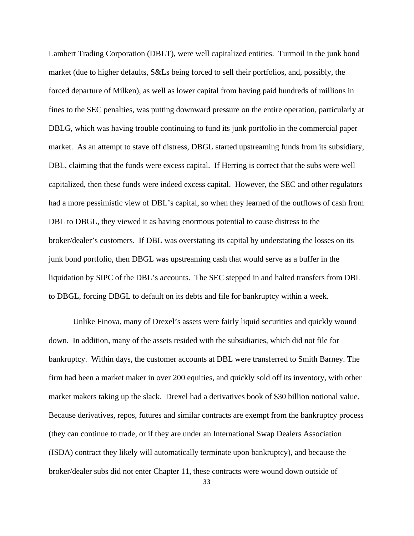Lambert Trading Corporation (DBLT), were well capitalized entities. Turmoil in the junk bond market (due to higher defaults, S&Ls being forced to sell their portfolios, and, possibly, the forced departure of Milken), as well as lower capital from having paid hundreds of millions in fines to the SEC penalties, was putting downward pressure on the entire operation, particularly at DBLG, which was having trouble continuing to fund its junk portfolio in the commercial paper market. As an attempt to stave off distress, DBGL started upstreaming funds from its subsidiary, DBL, claiming that the funds were excess capital. If Herring is correct that the subs were well capitalized, then these funds were indeed excess capital. However, the SEC and other regulators had a more pessimistic view of DBL's capital, so when they learned of the outflows of cash from DBL to DBGL, they viewed it as having enormous potential to cause distress to the broker/dealer's customers. If DBL was overstating its capital by understating the losses on its junk bond portfolio, then DBGL was upstreaming cash that would serve as a buffer in the liquidation by SIPC of the DBL's accounts. The SEC stepped in and halted transfers from DBL to DBGL, forcing DBGL to default on its debts and file for bankruptcy within a week.

Unlike Finova, many of Drexel's assets were fairly liquid securities and quickly wound down. In addition, many of the assets resided with the subsidiaries, which did not file for bankruptcy. Within days, the customer accounts at DBL were transferred to Smith Barney. The firm had been a market maker in over 200 equities, and quickly sold off its inventory, with other market makers taking up the slack. Drexel had a derivatives book of \$30 billion notional value. Because derivatives, repos, futures and similar contracts are exempt from the bankruptcy process (they can continue to trade, or if they are under an International Swap Dealers Association (ISDA) contract they likely will automatically terminate upon bankruptcy), and because the broker/dealer subs did not enter Chapter 11, these contracts were wound down outside of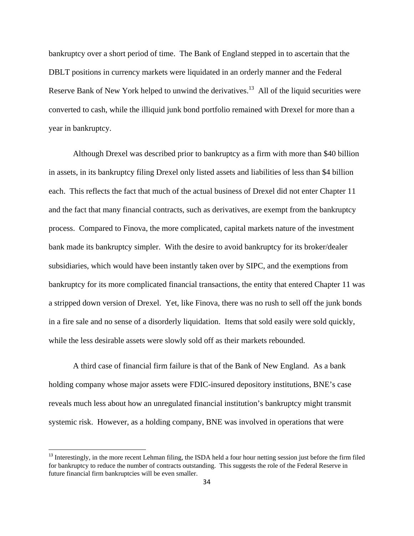bankruptcy over a short period of time. The Bank of England stepped in to ascertain that the DBLT positions in currency markets were liquidated in an orderly manner and the Federal Reserve Bank of New York helped to unwind the derivatives.<sup>13</sup> All of the liquid securities were converted to cash, while the illiquid junk bond portfolio remained with Drexel for more than a year in bankruptcy.

Although Drexel was described prior to bankruptcy as a firm with more than \$40 billion in assets, in its bankruptcy filing Drexel only listed assets and liabilities of less than \$4 billion each. This reflects the fact that much of the actual business of Drexel did not enter Chapter 11 and the fact that many financial contracts, such as derivatives, are exempt from the bankruptcy process. Compared to Finova, the more complicated, capital markets nature of the investment bank made its bankruptcy simpler. With the desire to avoid bankruptcy for its broker/dealer subsidiaries, which would have been instantly taken over by SIPC, and the exemptions from bankruptcy for its more complicated financial transactions, the entity that entered Chapter 11 was a stripped down version of Drexel. Yet, like Finova, there was no rush to sell off the junk bonds in a fire sale and no sense of a disorderly liquidation. Items that sold easily were sold quickly, while the less desirable assets were slowly sold off as their markets rebounded.

A third case of financial firm failure is that of the Bank of New England. As a bank holding company whose major assets were FDIC-insured depository institutions, BNE's case reveals much less about how an unregulated financial institution's bankruptcy might transmit systemic risk. However, as a holding company, BNE was involved in operations that were

<sup>&</sup>lt;sup>13</sup> Interestingly, in the more recent Lehman filing, the ISDA held a four hour netting session just before the firm filed for bankruptcy to reduce the number of contracts outstanding. This suggests the role of the Federal Reserve in future financial firm bankruptcies will be even smaller.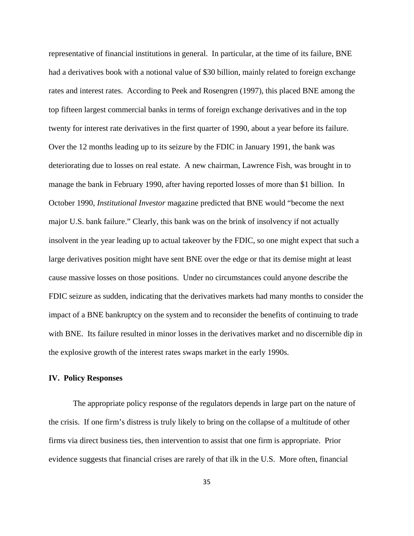representative of financial institutions in general. In particular, at the time of its failure, BNE had a derivatives book with a notional value of \$30 billion, mainly related to foreign exchange rates and interest rates. According to Peek and Rosengren (1997), this placed BNE among the top fifteen largest commercial banks in terms of foreign exchange derivatives and in the top twenty for interest rate derivatives in the first quarter of 1990, about a year before its failure. Over the 12 months leading up to its seizure by the FDIC in January 1991, the bank was deteriorating due to losses on real estate. A new chairman, Lawrence Fish, was brought in to manage the bank in February 1990, after having reported losses of more than \$1 billion. In October 1990, *Institutional Investor* magazine predicted that BNE would "become the next major U.S. bank failure." Clearly, this bank was on the brink of insolvency if not actually insolvent in the year leading up to actual takeover by the FDIC, so one might expect that such a large derivatives position might have sent BNE over the edge or that its demise might at least cause massive losses on those positions. Under no circumstances could anyone describe the FDIC seizure as sudden, indicating that the derivatives markets had many months to consider the impact of a BNE bankruptcy on the system and to reconsider the benefits of continuing to trade with BNE. Its failure resulted in minor losses in the derivatives market and no discernible dip in the explosive growth of the interest rates swaps market in the early 1990s.

## **IV. Policy Responses**

 The appropriate policy response of the regulators depends in large part on the nature of the crisis. If one firm's distress is truly likely to bring on the collapse of a multitude of other firms via direct business ties, then intervention to assist that one firm is appropriate. Prior evidence suggests that financial crises are rarely of that ilk in the U.S. More often, financial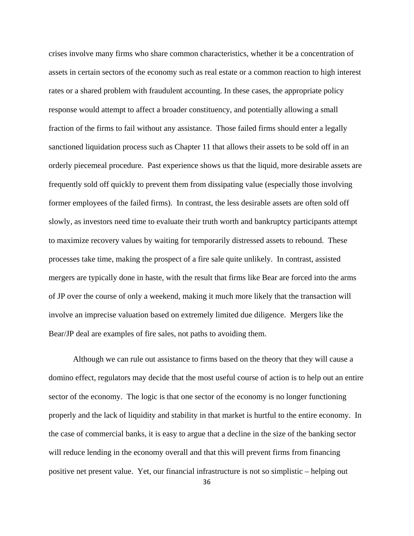crises involve many firms who share common characteristics, whether it be a concentration of assets in certain sectors of the economy such as real estate or a common reaction to high interest rates or a shared problem with fraudulent accounting. In these cases, the appropriate policy response would attempt to affect a broader constituency, and potentially allowing a small fraction of the firms to fail without any assistance. Those failed firms should enter a legally sanctioned liquidation process such as Chapter 11 that allows their assets to be sold off in an orderly piecemeal procedure. Past experience shows us that the liquid, more desirable assets are frequently sold off quickly to prevent them from dissipating value (especially those involving former employees of the failed firms). In contrast, the less desirable assets are often sold off slowly, as investors need time to evaluate their truth worth and bankruptcy participants attempt to maximize recovery values by waiting for temporarily distressed assets to rebound. These processes take time, making the prospect of a fire sale quite unlikely. In contrast, assisted mergers are typically done in haste, with the result that firms like Bear are forced into the arms of JP over the course of only a weekend, making it much more likely that the transaction will involve an imprecise valuation based on extremely limited due diligence. Mergers like the Bear/JP deal are examples of fire sales, not paths to avoiding them.

Although we can rule out assistance to firms based on the theory that they will cause a domino effect, regulators may decide that the most useful course of action is to help out an entire sector of the economy. The logic is that one sector of the economy is no longer functioning properly and the lack of liquidity and stability in that market is hurtful to the entire economy. In the case of commercial banks, it is easy to argue that a decline in the size of the banking sector will reduce lending in the economy overall and that this will prevent firms from financing positive net present value. Yet, our financial infrastructure is not so simplistic – helping out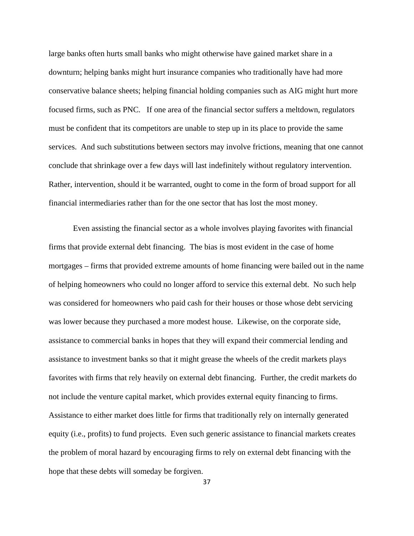large banks often hurts small banks who might otherwise have gained market share in a downturn; helping banks might hurt insurance companies who traditionally have had more conservative balance sheets; helping financial holding companies such as AIG might hurt more focused firms, such as PNC. If one area of the financial sector suffers a meltdown, regulators must be confident that its competitors are unable to step up in its place to provide the same services. And such substitutions between sectors may involve frictions, meaning that one cannot conclude that shrinkage over a few days will last indefinitely without regulatory intervention. Rather, intervention, should it be warranted, ought to come in the form of broad support for all financial intermediaries rather than for the one sector that has lost the most money.

Even assisting the financial sector as a whole involves playing favorites with financial firms that provide external debt financing. The bias is most evident in the case of home mortgages – firms that provided extreme amounts of home financing were bailed out in the name of helping homeowners who could no longer afford to service this external debt. No such help was considered for homeowners who paid cash for their houses or those whose debt servicing was lower because they purchased a more modest house. Likewise, on the corporate side, assistance to commercial banks in hopes that they will expand their commercial lending and assistance to investment banks so that it might grease the wheels of the credit markets plays favorites with firms that rely heavily on external debt financing. Further, the credit markets do not include the venture capital market, which provides external equity financing to firms. Assistance to either market does little for firms that traditionally rely on internally generated equity (i.e., profits) to fund projects. Even such generic assistance to financial markets creates the problem of moral hazard by encouraging firms to rely on external debt financing with the hope that these debts will someday be forgiven.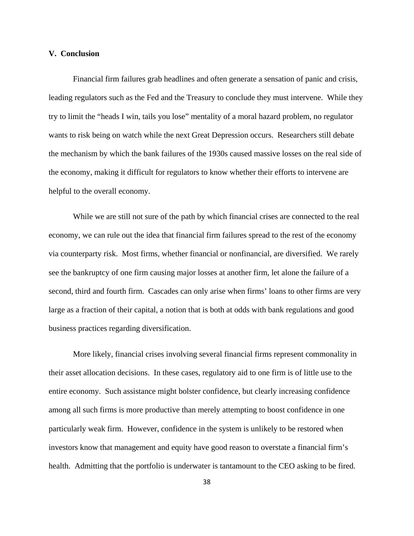### **V. Conclusion**

 Financial firm failures grab headlines and often generate a sensation of panic and crisis, leading regulators such as the Fed and the Treasury to conclude they must intervene. While they try to limit the "heads I win, tails you lose" mentality of a moral hazard problem, no regulator wants to risk being on watch while the next Great Depression occurs. Researchers still debate the mechanism by which the bank failures of the 1930s caused massive losses on the real side of the economy, making it difficult for regulators to know whether their efforts to intervene are helpful to the overall economy.

While we are still not sure of the path by which financial crises are connected to the real economy, we can rule out the idea that financial firm failures spread to the rest of the economy via counterparty risk. Most firms, whether financial or nonfinancial, are diversified. We rarely see the bankruptcy of one firm causing major losses at another firm, let alone the failure of a second, third and fourth firm. Cascades can only arise when firms' loans to other firms are very large as a fraction of their capital, a notion that is both at odds with bank regulations and good business practices regarding diversification.

More likely, financial crises involving several financial firms represent commonality in their asset allocation decisions. In these cases, regulatory aid to one firm is of little use to the entire economy. Such assistance might bolster confidence, but clearly increasing confidence among all such firms is more productive than merely attempting to boost confidence in one particularly weak firm. However, confidence in the system is unlikely to be restored when investors know that management and equity have good reason to overstate a financial firm's health. Admitting that the portfolio is underwater is tantamount to the CEO asking to be fired.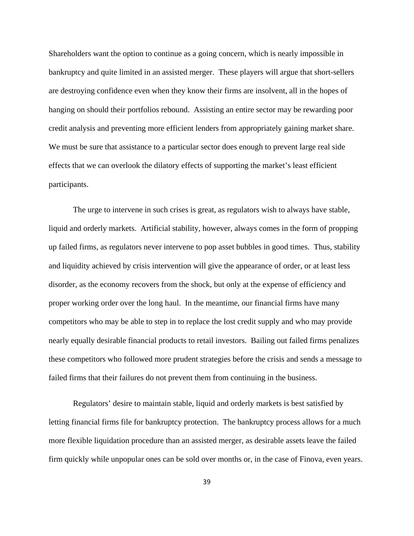Shareholders want the option to continue as a going concern, which is nearly impossible in bankruptcy and quite limited in an assisted merger. These players will argue that short-sellers are destroying confidence even when they know their firms are insolvent, all in the hopes of hanging on should their portfolios rebound. Assisting an entire sector may be rewarding poor credit analysis and preventing more efficient lenders from appropriately gaining market share. We must be sure that assistance to a particular sector does enough to prevent large real side effects that we can overlook the dilatory effects of supporting the market's least efficient participants.

The urge to intervene in such crises is great, as regulators wish to always have stable, liquid and orderly markets. Artificial stability, however, always comes in the form of propping up failed firms, as regulators never intervene to pop asset bubbles in good times. Thus, stability and liquidity achieved by crisis intervention will give the appearance of order, or at least less disorder, as the economy recovers from the shock, but only at the expense of efficiency and proper working order over the long haul. In the meantime, our financial firms have many competitors who may be able to step in to replace the lost credit supply and who may provide nearly equally desirable financial products to retail investors. Bailing out failed firms penalizes these competitors who followed more prudent strategies before the crisis and sends a message to failed firms that their failures do not prevent them from continuing in the business.

Regulators' desire to maintain stable, liquid and orderly markets is best satisfied by letting financial firms file for bankruptcy protection. The bankruptcy process allows for a much more flexible liquidation procedure than an assisted merger, as desirable assets leave the failed firm quickly while unpopular ones can be sold over months or, in the case of Finova, even years.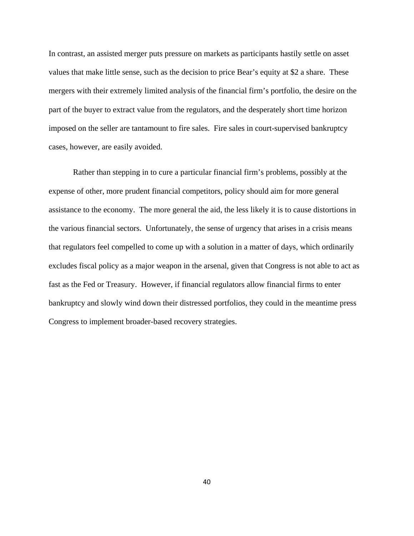In contrast, an assisted merger puts pressure on markets as participants hastily settle on asset values that make little sense, such as the decision to price Bear's equity at \$2 a share. These mergers with their extremely limited analysis of the financial firm's portfolio, the desire on the part of the buyer to extract value from the regulators, and the desperately short time horizon imposed on the seller are tantamount to fire sales. Fire sales in court-supervised bankruptcy cases, however, are easily avoided.

Rather than stepping in to cure a particular financial firm's problems, possibly at the expense of other, more prudent financial competitors, policy should aim for more general assistance to the economy. The more general the aid, the less likely it is to cause distortions in the various financial sectors. Unfortunately, the sense of urgency that arises in a crisis means that regulators feel compelled to come up with a solution in a matter of days, which ordinarily excludes fiscal policy as a major weapon in the arsenal, given that Congress is not able to act as fast as the Fed or Treasury. However, if financial regulators allow financial firms to enter bankruptcy and slowly wind down their distressed portfolios, they could in the meantime press Congress to implement broader-based recovery strategies.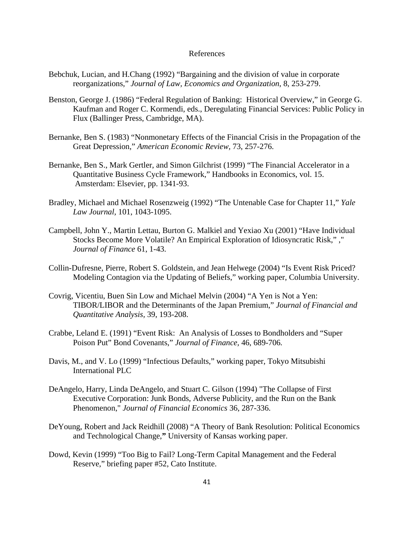## References

- Bebchuk, Lucian, and H.Chang (1992) "Bargaining and the division of value in corporate reorganizations," *Journal of Law, Economics and Organization*, 8, 253-279.
- Benston, George J. (1986) "Federal Regulation of Banking: Historical Overview," in George G. Kaufman and Roger C. Kormendi, eds., Deregulating Financial Services: Public Policy in Flux (Ballinger Press, Cambridge, MA).
- Bernanke, Ben S. (1983) "Nonmonetary Effects of the Financial Crisis in the Propagation of the Great Depression," *American Economic Review,* 73, 257-276.
- Bernanke, Ben S., Mark Gertler, and Simon Gilchrist (1999) "The Financial Accelerator in a Quantitative Business Cycle Framework," Handbooks in Economics, vol. 15. Amsterdam: Elsevier, pp. 1341-93.
- Bradley, Michael and Michael Rosenzweig (1992) "The Untenable Case for Chapter 11," *Yale Law Journal,* 101, 1043-1095.
- Campbell, John Y., Martin Lettau, Burton G. Malkiel and Yexiao Xu (2001) "Have Individual Stocks Become More Volatile? An Empirical Exploration of Idiosyncratic Risk," ," *Journal of Finance* 61, 1-43.
- Collin-Dufresne, Pierre, Robert S. Goldstein, and Jean Helwege (2004) "Is Event Risk Priced? Modeling Contagion via the Updating of Beliefs," working paper, Columbia University.
- Covrig, Vicentiu, Buen Sin Low and Michael Melvin (2004) "A Yen is Not a Yen: TIBOR/LIBOR and the Determinants of the Japan Premium," *Journal of Financial and Quantitative Analysis,* 39, 193-208.
- Crabbe, Leland E. (1991) "Event Risk: An Analysis of Losses to Bondholders and "Super Poison Put" Bond Covenants," *Journal of Finance,* 46, 689-706*.*
- Davis, M., and V. Lo (1999) "Infectious Defaults," working paper, Tokyo Mitsubishi International PLC
- DeAngelo, Harry, Linda DeAngelo, and Stuart C. Gilson (1994) "The Collapse of First Executive Corporation: Junk Bonds, Adverse Publicity, and the Run on the Bank Phenomenon," *Journal of Financial Economics* 36, 287-336.
- DeYoung, Robert and Jack Reidhill (2008) "A Theory of Bank Resolution: Political Economics and Technological Change,**"** University of Kansas working paper.
- Dowd, Kevin (1999) "Too Big to Fail? Long-Term Capital Management and the Federal Reserve," briefing paper #52, Cato Institute.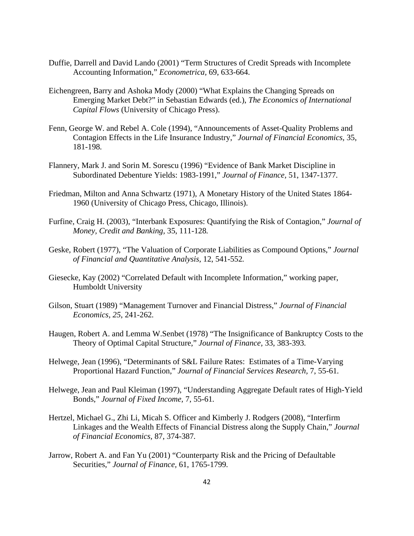- Duffie, Darrell and David Lando (2001) "Term Structures of Credit Spreads with Incomplete Accounting Information," *Econometrica,* 69, 633-664.
- Eichengreen, Barry and Ashoka Mody (2000) "What Explains the Changing Spreads on Emerging Market Debt?" in Sebastian Edwards (ed.), *The Economics of International Capital Flows* (University of Chicago Press).
- Fenn, George W. and Rebel A. Cole (1994), "Announcements of Asset-Quality Problems and Contagion Effects in the Life Insurance Industry," *Journal of Financial Economics,* 35, 181-198*.*
- Flannery, Mark J. and Sorin M. Sorescu (1996) "Evidence of Bank Market Discipline in Subordinated Debenture Yields: 1983-1991," *Journal of Finance,* 51, 1347-1377*.*
- Friedman, Milton and Anna Schwartz (1971), A Monetary History of the United States 1864- 1960 (University of Chicago Press, Chicago, Illinois).
- Furfine, Craig H. (2003), "Interbank Exposures: Quantifying the Risk of Contagion," *Journal of Money, Credit and Banking,* 35, 111-128*.*
- Geske, Robert (1977), "The Valuation of Corporate Liabilities as Compound Options," *Journal of Financial and Quantitative Analysis,* 12, 541-552*.*
- Giesecke, Kay (2002) "Correlated Default with Incomplete Information," working paper, Humboldt University
- Gilson, Stuart (1989) "Management Turnover and Financial Distress," *Journal of Financial Economics, 25*, 241-262*.*
- Haugen, Robert A. and Lemma W.Senbet (1978) "The Insignificance of Bankruptcy Costs to the Theory of Optimal Capital Structure," *Journal of Finance,* 33, 383-393*.*
- Helwege, Jean (1996), "Determinants of S&L Failure Rates: Estimates of a Time-Varying Proportional Hazard Function," *Journal of Financial Services Research,* 7, 55-61*.*
- Helwege, Jean and Paul Kleiman (1997), "Understanding Aggregate Default rates of High-Yield Bonds," *Journal of Fixed Income,* 7, 55-61*.*
- Hertzel, Michael G., Zhi Li, Micah S. Officer and Kimberly J. Rodgers (2008), "Interfirm Linkages and the Wealth Effects of Financial Distress along the Supply Chain," *Journal of Financial Economics,* 87, 374-387*.*
- Jarrow, Robert A. and Fan Yu (2001) "Counterparty Risk and the Pricing of Defaultable Securities," *Journal of Finance,* 61, 1765-1799*.*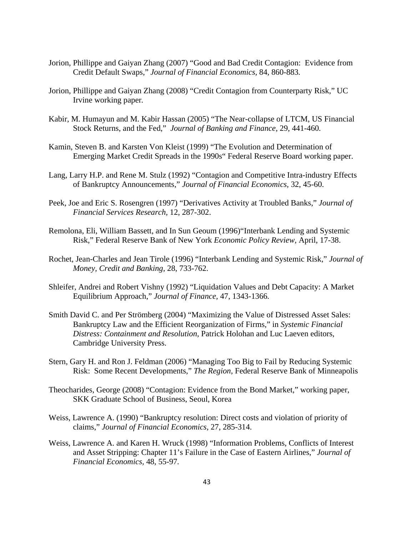- Jorion, Phillippe and Gaiyan Zhang (2007) "Good and Bad Credit Contagion: Evidence from Credit Default Swaps," *Journal of Financial Economics,* 84, 860-883*.*
- Jorion, Phillippe and Gaiyan Zhang (2008) "Credit Contagion from Counterparty Risk," UC Irvine working paper*.*
- Kabir, M. Humayun and M. Kabir Hassan (2005) "The Near-collapse of LTCM, US Financial Stock Returns, and the Fed," *Journal of Banking and Finance,* 29, 441-460*.*
- Kamin, Steven B. and Karsten Von Kleist (1999) "The Evolution and Determination of Emerging Market Credit Spreads in the 1990s" Federal Reserve Board working paper.
- Lang, Larry H.P. and Rene M. Stulz (1992) "Contagion and Competitive Intra-industry Effects of Bankruptcy Announcements," *Journal of Financial Economics,* 32, 45-60.
- Peek, Joe and Eric S. Rosengren (1997) "Derivatives Activity at Troubled Banks," *Journal of Financial Services Research,* 12, 287-302.
- Remolona, Eli, William Bassett, and In Sun Geoum (1996)"Interbank Lending and Systemic Risk," Federal Reserve Bank of New York *Economic Policy Review,* April, 17-38.
- Rochet, Jean-Charles and Jean Tirole (1996) "Interbank Lending and Systemic Risk," *Journal of Money, Credit and Banking,* 28, 733-762.
- Shleifer, Andrei and Robert Vishny (1992) "Liquidation Values and Debt Capacity: A Market Equilibrium Approach," *Journal of Finance,* 47, 1343-1366*.*
- Smith David C. and Per Strömberg (2004) "Maximizing the Value of Distressed Asset Sales: Bankruptcy Law and the Efficient Reorganization of Firms," in *Systemic Financial Distress: Containment and Resolution*, Patrick Holohan and Luc Laeven editors, Cambridge University Press.
- Stern, Gary H. and Ron J. Feldman (2006) "Managing Too Big to Fail by Reducing Systemic Risk: Some Recent Developments," *The Region*, Federal Reserve Bank of Minneapolis
- Theocharides, George (2008) "Contagion: Evidence from the Bond Market," working paper, SKK Graduate School of Business, Seoul, Korea
- Weiss, Lawrence A. (1990) "Bankruptcy resolution: Direct costs and violation of priority of claims," *Journal of Financial Economics,* 27, 285-314.
- Weiss, Lawrence A. and Karen H. Wruck (1998) "Information Problems, Conflicts of Interest and Asset Stripping: Chapter 11's Failure in the Case of Eastern Airlines," *Journal of Financial Economics,* 48, 55-97*.*